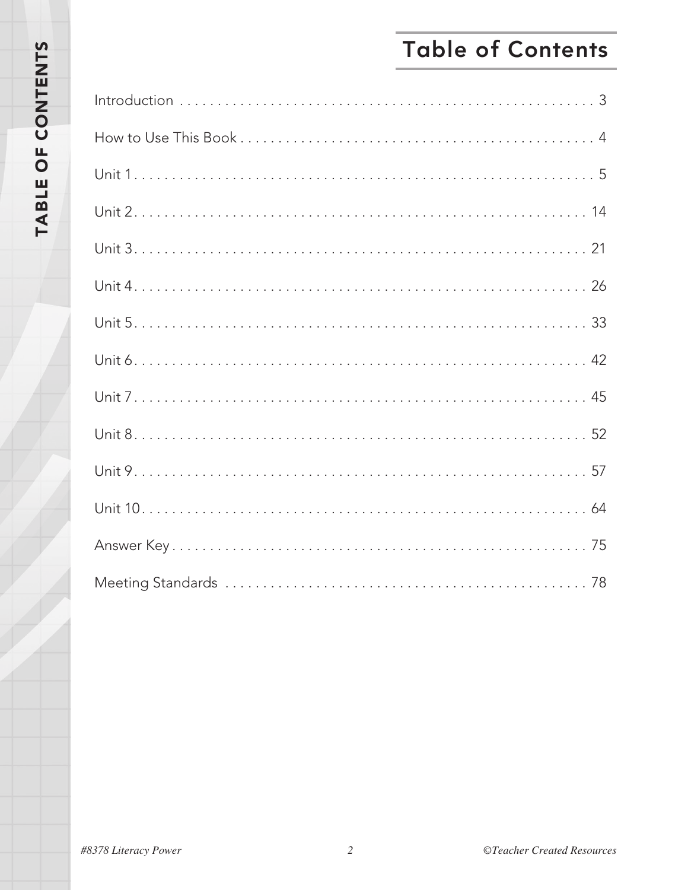# **Table of Contents**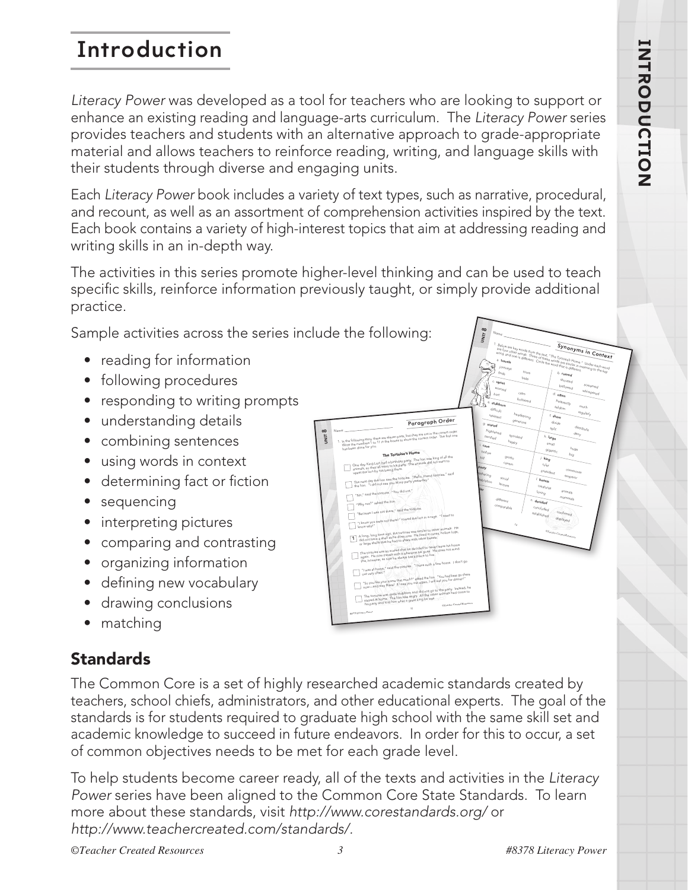### Introduction

*Literacy Power* was developed as a tool for teachers who are looking to support or enhance an existing reading and language-arts curriculum. The *Literacy Power* series provides teachers and students with an alternative approach to grade-appropriate material and allows teachers to reinforce reading, writing, and language skills with their students through diverse and engaging units.

Each *Literacy Power* book includes a variety of text types, such as narrative, procedural, and recount, as well as an assortment of comprehension activities inspired by the text. Each book contains a variety of high-interest topics that aim at addressing reading and writing skills in an in-depth way.

The activities in this series promote higher-level thinking and can be used to teach specific skills, reinforce information previously taught, or simply provide additional practice.

> Name: **UNIT** 8

> > has been done for you.

animals, so user and being there.

know why!"

1

out very often."

Sample activities across the series include the following:

- reading for information
- following procedures
- responding to writing prompts
- understanding details
- combining sentences
- using words in context
- determining fact or fiction
- sequencing
- interpreting pictures
- comparing and contrasting
- • organizing information
- defining new vocabulary
- drawing conclusions
- matching

### **Standards**

The Common Core is a set of highly researched academic standards created by teachers, school chiefs, administrators, and other educational experts. The goal of the standards is for students required to graduate high school with the same skill set and academic knowledge to succeed in future endeavors. In order for this to occur, a set of common objectives needs to be met for each grade level.

*#8378 Literacy Power*  $\frac{67}{2}$ *CFeacher Created Resources* 

"So you like your home that much?" asked the lion. "You had best go there So you like your home that much?" asked the lion!<br>"So you like your home that much?" asked the lion!<br>"I set you distay there!" If I see you out again, I will eat you for distance!" The tortoise was quite stubborn and did not go to the party. Instead, he The tortoise was quite stubborn and did not you was animals had come to<br>stayed at home. The lion was angry. All the other animals had come to stayed at home. The non-name areat king he was.<br>his party and told him what a great king he was.

Paragraph Order

1. In the following story, there are eleven parts, but they are not in the correct order. In the following story, there are eleven parts, but they all like to the first one.<br>Write the numbers 1 to 11 in the boxes to show the correct order. The first one

> The Tortoise's Home **Canadian International Science A** birthday party. The lion was king of all the compact to compact the animals did not want to One day, King Lion had a birthday party.<br>The day, King bill went to his party. The animals did not want to<br>animals, so they all went to there.

pset the non-ext.<br>The next day the lion saw the tortoise. "Hello, friend tortoise," said.<br>The next day the lion saw the tow party yesterday." The next day the lion saw the collocaty yesterday."<br>the lion. "I did not see you at my party yesterday." "No," said the tortoise. "You did not." "Why not?" asked the lion. "Because I was not there," said the tortoise. "I know you were not there!" roared the lion in a rage. "I want to

mow might.<br>A long, long time ago, the tortoise was similar to other animals. He<br>A long, long time as a border a now. He lived in caves, hollow logs, A long, long time ago, the tortoise was similar in caves, hollow logs,<br>did not have a shell as he does now. He lived in caves, hollow logs,<br>did not have a shell a kad to share with other beasts. did not have a shell as he west.<br>or large shells that he had to share with other beasts. or large ....<br>The tortoise was so scared that he decided to never leave his home<br>The tortoise was so scared that herever he goes. He does not mind The tortoise was so scared that he decided to never he does not mind.<br>again. He now travels with it wherever he goes. He does not mind.<br>again. He now travel he always has a place to live. again. He now travels with it will has a place to live.<br>this, however, as now he always has a place to live. his, now the result of the tortoise. "I have such a fine home. I don't go

To help students become career ready, all of the texts and activities in the *Literacy Power* series have been aligned to the Common Core State Standards. To learn more about these standards, visit *http://www.corestandards.org/* or *http://www.teachercreated.com/standards/.*

*©Teacher Created Resources 3 #8378 Literacy Power*

Name: **UNIT** 8

> a. travels journeys<br><sup>final</sup>is<sup>tours</sup> finds <sup>to</sup>ur<br><sup>treks</sup> c. upset worried hurt

e. stubborn difficul<sub>t</sub><br>esista<sub>nt</sub> headstrong resistant <sup>readstro</sup> g. scared <sup>fri</sup>ghten<sub>ed</sub> spooked<br><sup>spooked</sup> terrified <sup>spool</sup> i. cave hollow hill

part<sub>y</sub> <sup>rathering</sup> <sup>social</sup> lebration lecture similar same dif related

calm bothered

 $\begin{array}{lll} \begin{array}{l} \mathcal{S}_{\mathcal{F}}&\mathcal{S}_{\mathcal{F}}\cap\mathcal{O}_{\mathcal{F}}\cap\mathcal{O}_{\mathcal{F}}\cap\mathcal{O}_{\mathcal{F}}\cap\mathcal{O}_{\mathcal{F}}\cap\mathcal{O}_{\mathcal{F}}\cap\mathcal{O}_{\mathcal{F}}\cap\mathcal{O}_{\mathcal{F}}\cap\mathcal{O}_{\mathcal{F}}\cap\mathcal{O}_{\mathcal{F}}\cap\mathcal{O}_{\mathcal{F}}\cap\mathcal{O}_{\mathcal{F}}\cap\mathcal{O}_{\mathcal{F}}\cap\mathcal{O}_{\mathcal{$ 

d. often <sup>freque</sup>ntly much seldom regularly f. share di<sub>vide</sub><br>plit <sup>distr</sup>ibute split deny h. large s<sub>mall</sub><br>i<sub>nam</sub>, huge gigantic <sup>nu</sup><br>big j. king ruler<br><sup>resid</sup>ent <sup>comm</sup>oner president emperor l. beasts crea<sub>tures</sub><br>Princ lovi<sub>ng</sub> <sup>ani</sup>mals <sup>n.</sup> decided concluded confi established

b. roared shouted bellowed

 rmed displ<sub>ayed</sub>

scream<sub>ed</sub> whimper

 $\begin{picture}(40,40) \put(0,0){\vector(0,0){30}} \put(15,0){\vector(0,0){30}} \put(15,0){\vector(0,0){30}} \put(15,0){\vector(0,0){30}} \put(15,0){\vector(0,0){30}} \put(15,0){\vector(0,0){30}} \put(15,0){\vector(0,0){30}} \put(15,0){\vector(0,0){30}} \put(15,0){\vector(0,0){30}} \put(15,0){\vector(0,0){30}} \put(15,0){\vector(0,0){30}} \put(15,0){\vector(0,$ 

grotto cavern

fer<sub>ent</sub> comparable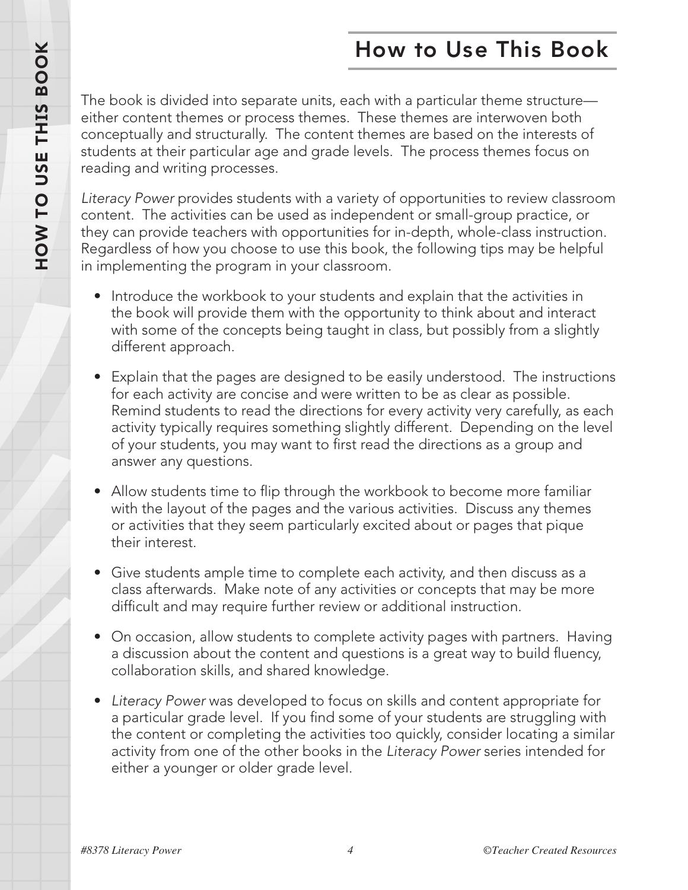### How to Use This Book

The book is divided into separate units, each with a particular theme structure either content themes or process themes. These themes are interwoven both conceptually and structurally. The content themes are based on the interests of students at their particular age and grade levels. The process themes focus on reading and writing processes.

*Literacy Power* provides students with a variety of opportunities to review classroom content. The activities can be used as independent or small-group practice, or they can provide teachers with opportunities for in-depth, whole-class instruction. Regardless of how you choose to use this book, the following tips may be helpful in implementing the program in your classroom.

- Introduce the workbook to your students and explain that the activities in the book will provide them with the opportunity to think about and interact with some of the concepts being taught in class, but possibly from a slightly different approach.
- Explain that the pages are designed to be easily understood. The instructions for each activity are concise and were written to be as clear as possible. Remind students to read the directions for every activity very carefully, as each activity typically requires something slightly different. Depending on the level of your students, you may want to first read the directions as a group and answer any questions.
- Allow students time to flip through the workbook to become more familiar with the layout of the pages and the various activities. Discuss any themes or activities that they seem particularly excited about or pages that pique their interest.
- Give students ample time to complete each activity, and then discuss as a class afterwards. Make note of any activities or concepts that may be more difficult and may require further review or additional instruction.
- On occasion, allow students to complete activity pages with partners. Having a discussion about the content and questions is a great way to build fluency, collaboration skills, and shared knowledge.
- *Literacy Power* was developed to focus on skills and content appropriate for a particular grade level. If you find some of your students are struggling with the content or completing the activities too quickly, consider locating a similar activity from one of the other books in the *Literacy Power* series intended for either a younger or older grade level.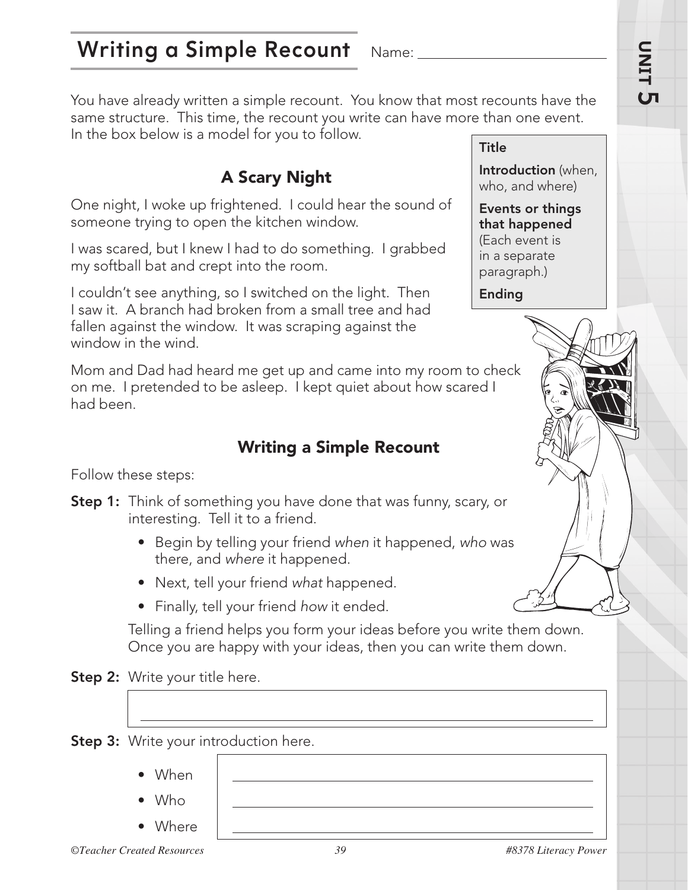## Writing a Simple Recount Name:

You have already written a simple recount. You know that most recounts have the same structure. This time, the recount you write can have more than one event. In the box below is a model for you to follow.

#### A Scary Night

One night, I woke up frightened. I could hear the sound of someone trying to open the kitchen window.

I was scared, but I knew I had to do something. I grabbed my softball bat and crept into the room.

I couldn't see anything, so I switched on the light. Then I saw it. A branch had broken from a small tree and had fallen against the window. It was scraping against the window in the wind.

Mom and Dad had heard me get up and came into my room to check on me. I pretended to be asleep. I kept quiet about how scared I had been.

### Writing a Simple Recount

Follow these steps:

- **Step 1:** Think of something you have done that was funny, scary, or interesting. Tell it to a friend.
	- • Begin by telling your friend *when* it happened, *who* was there, and *where* it happened.
	- • Next, tell your friend *what* happened.
	- • Finally, tell your friend *how* it ended.

Telling a friend helps you form your ideas before you write them down. Once you are happy with your ideas, then you can write them down.

#### **Step 2:** Write your title here.

**Step 3:** Write your introduction here.

**When**  • Who • Where

**Title** 

Introduction (when, who, and where)

#### Events or things that happened (Each event is in a separate

paragraph.)

Ending